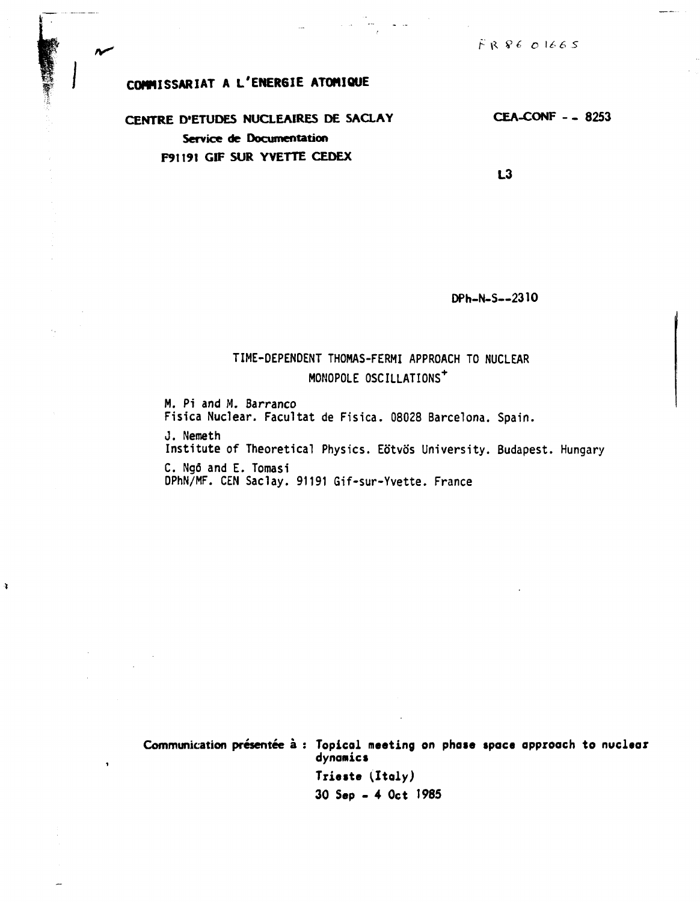$FR8601665$ 

## COMMISSARIAT A L'ENERGIE ATOMIQUE

N

 $\pmb{\chi}$ 

 $\bullet$ 

CENTRE D'ETUDES NUCLEAIRES DE SACLAY Service de Documentation F91191 GIF SUR YVETTE CEDEX

**CEA-CONF - - 8253** 

 $L3$ 

DPh-N-S--2310

## TIME-DEPENDENT THOMAS-FERMI APPROACH TO NUCLEAR MONOPOLE OSCILLATIONS<sup>+</sup>

M. Pi and M. Barranco Fisica Nuclear. Facultat de Fisica. 08028 Barcelona. Spain. J. Nemeth Institute of Theoretical Physics. Eötvös University. Budapest. Hungary C. Ngô and E. Tomasi

DPhN/MF. CEN Saclay. 91191 Gif-sur-Yvette. France

Communication présentée à : Topical meeting on phase space approach to nuclear dynamics

> Trieste (Italy) 30 Sep - 4 Oct 1985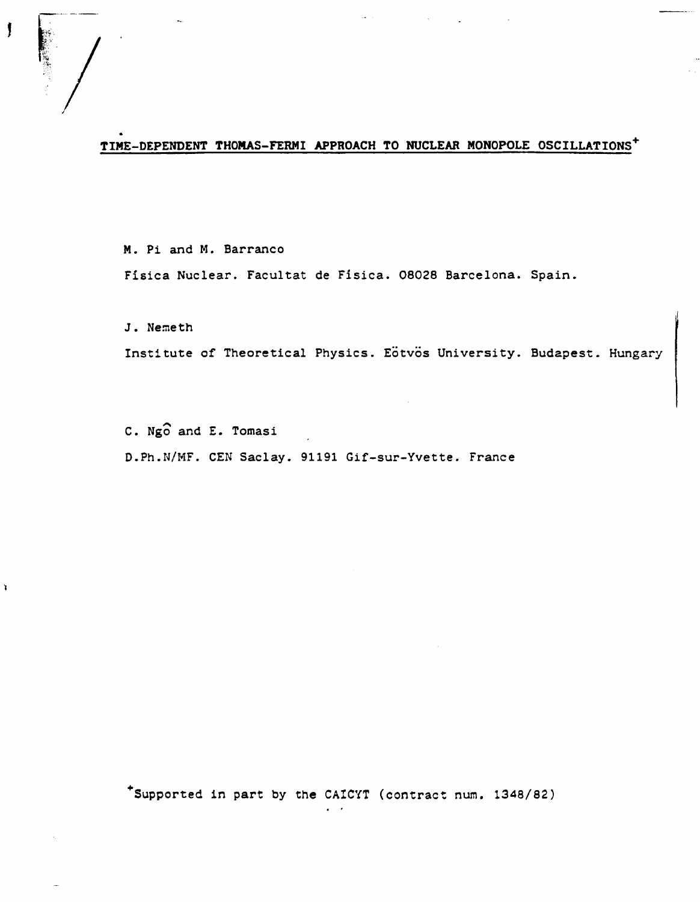## TIME-DEPENDENT THOMAS-FERMI APPROACH TO NUCLEAR MONOPOLE OSCILLATIONS<sup>+</sup>

**Contractor** 

**M.** Pi and M. Barranco Fisica Nuclear. Facultat de Fisica. 08028 Barcelona. Spain.

J. Nemeth

 $\mathbf{r}$ 

Institute of Theoretical Physics. Eötvös University. Budapest. Hungary

C. Ngo and E. Tomasi D.Ph.N/MF. CEN Saclay. 91191 Gif-sur-Yvette. France

\*Supported in part by the CAICYT (contract num. 1348/82)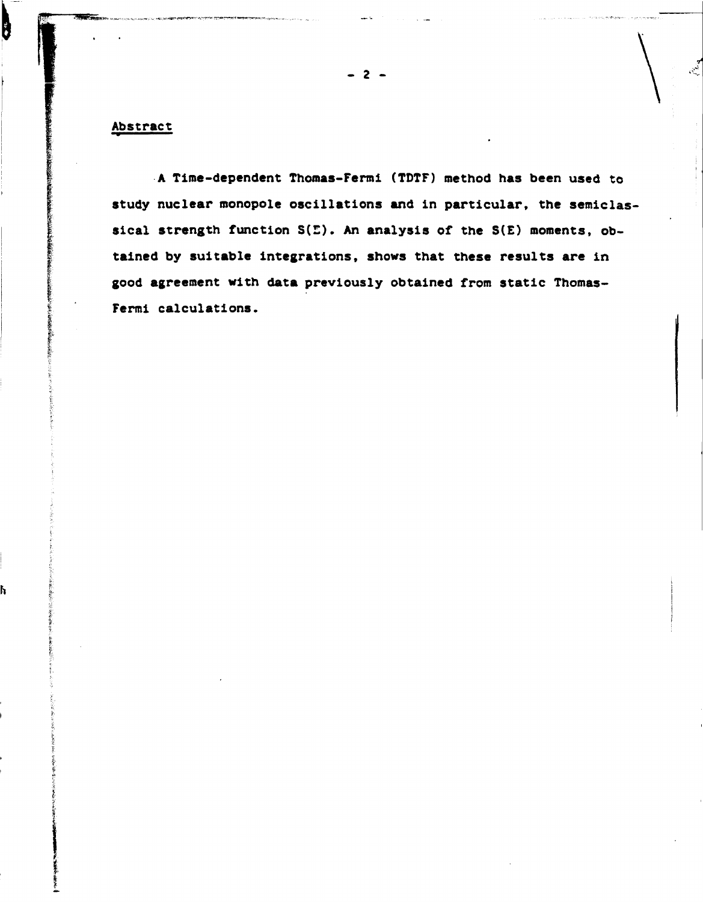#### **Abstract**

 $\overline{\mathbf{b}}$ 

h

**A Time-dependent Thomas-Fermi (TDTF) method has been used to study nuclear monopole oscillations and in particular, the semiclassical strength function S(E). An analysis of the S(E) moments, obtained by suitable integrations, shows that these results are in good agreement with data previously obtained from static Thomas-Fermi calculations.** 

**2**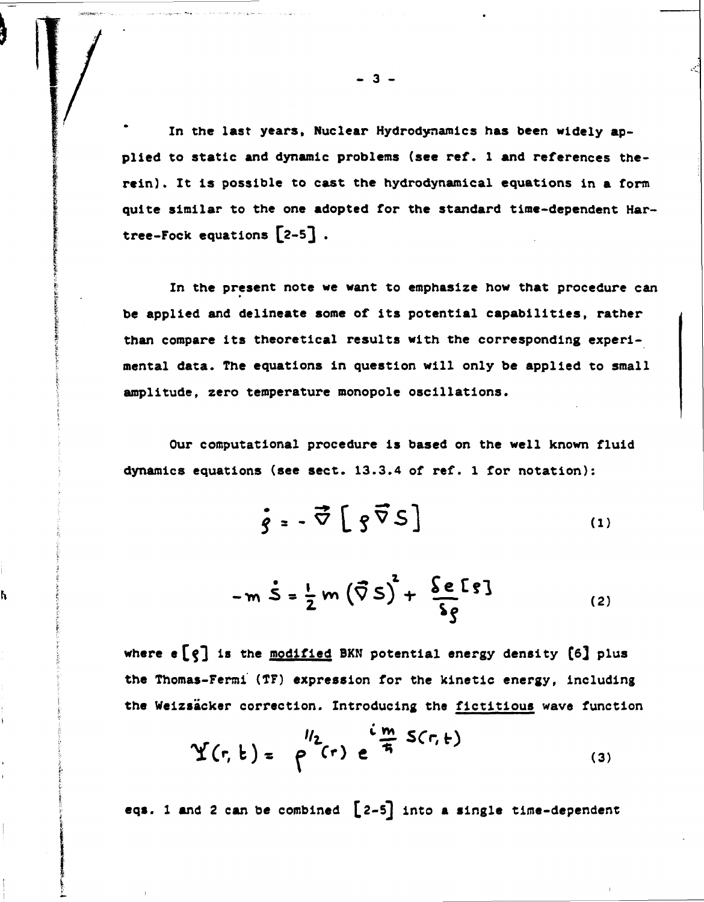**In the last years. Nuclear Hydrodynamics has been widely applied to static and dynamic problems (see ref. 1 and references therein) . It is possible to cast the hydrodynamical equations in a form quite similar to the one adopted for the standard time-dependent Har**tree-Fock equations  $[2-5]$ .

**In the present note we want to emphasize how that procedure can be applied and delineate some of its potential capabilities, rather than compare its theoretical results with the corresponding experimental data. The equations in question will only be applied to small amplitude, zero temperature monopole oscillations.** 

**Our computational procedure is based on the well known fluid dynamics equations (see sect. 13.3.4 of ref. 1 for notation):** 

$$
\vec{g} = -\vec{\nabla} \left[ g \vec{\nabla} S \right]
$$
 (1)

$$
-m\dot{S}=\frac{1}{2}m(\vec{\nabla}S)^{2}+\frac{\delta e\,[S]}{\delta g}\tag{2}
$$

**where e£ç3 <sup>i</sup> s tn <sup>e</sup> modified BKN potential energy density [6} plus the Thomas-Fermi (TF) expression for the kinetic energy, including the Weizsacker correction. Introducing the fictitious wave function** 

h

$$
Y(r, t) = \rho^{1/2}(r) e^{\frac{i m}{4} S(r, t)}
$$
 (3)

eqs. 1 and 2 can be combined  $[2-5]$  into a single time-dependent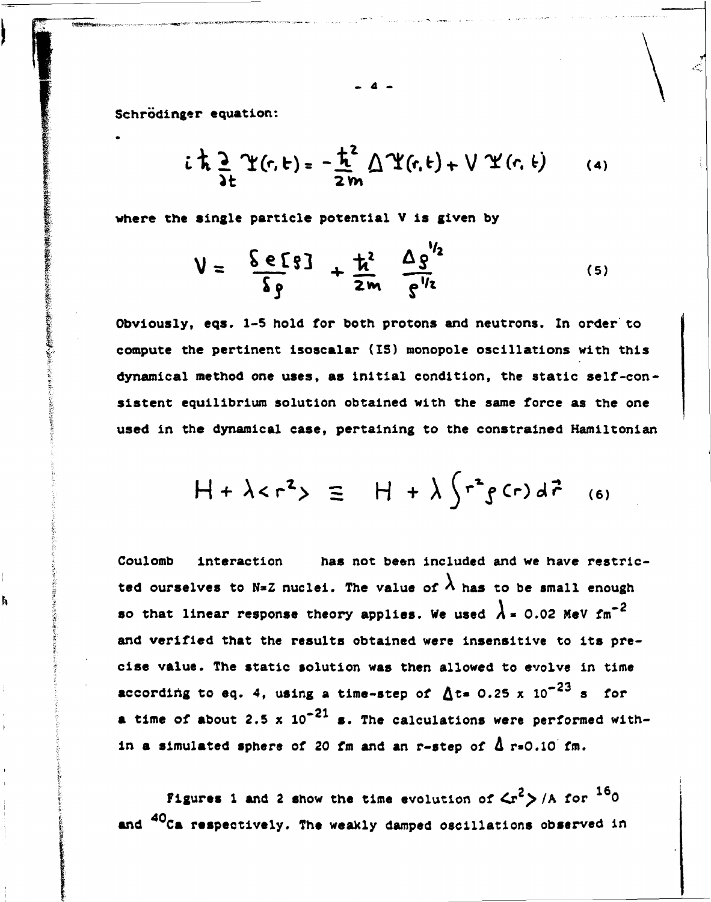**Schrodinger equation:** 

● 「このこの「この」と、「「この」と、「この」と、「この」と、「この」と、「この」と、「この」と、「この」と、「この」

ħ

$$
i \frac{1}{\lambda} \frac{\partial}{\partial t} \Upsilon(r, t) = -\frac{\hbar^2}{2m} \bigwedge \Upsilon(r, t) + \bigvee \Upsilon(r, t) \qquad (4)
$$

where the single particle potential V is given by

$$
V = \frac{\delta e [3]}{\delta g} + \frac{\hbar^2}{2m} \frac{\Delta g''^2}{g''^2}
$$
 (5)

**Obviously, eqs. 1-5 hold for both protons and neutrons. In order to compute the pertinent isoscalar (IS) monopole oscillations with this dynamical method one uses, as initial condition, the static self-consistent equilibrium solution obtained with the same force as the one used in the dynamical case, pertaining to the constrained Hamiltonian** 

$$
H + \lambda < r^2 > \equiv H + \lambda \int r^2 g(r) d\vec{r}
$$
 (6)

**Coulomb interaction has not been included and we have restric**ted ourselves to N=Z nuclei. The value of  $\lambda$  has to be small enough so that linear response theory applies. We used  $\lambda = 0.02$  MeV fm<sup>-2</sup> **and verified that the results obtained were insensitive to its precise value. The static solution was then allowed to evolve in time**  according to eq. 4, using a time-step of  $\Delta t = 0.25 \times 10^{-23}$  s for a time of about 2.5 x  $10^{-21}$  s. The calculations were performed within a simulated sphere of 20 fm and an r-step of  $\Delta$  r=0.10 fm.

 $2^{16}$ **Figures 1 and 2 show the time evolution of**  $\left\langle \mathbf{r}^{\mathsf{c}}\right\rangle$  **/A for**  $\mathbf{r}^{\mathsf{c}}$ **0 40 and Ca respectively. The weakly damped oscillations observed in** 

**- 4 -**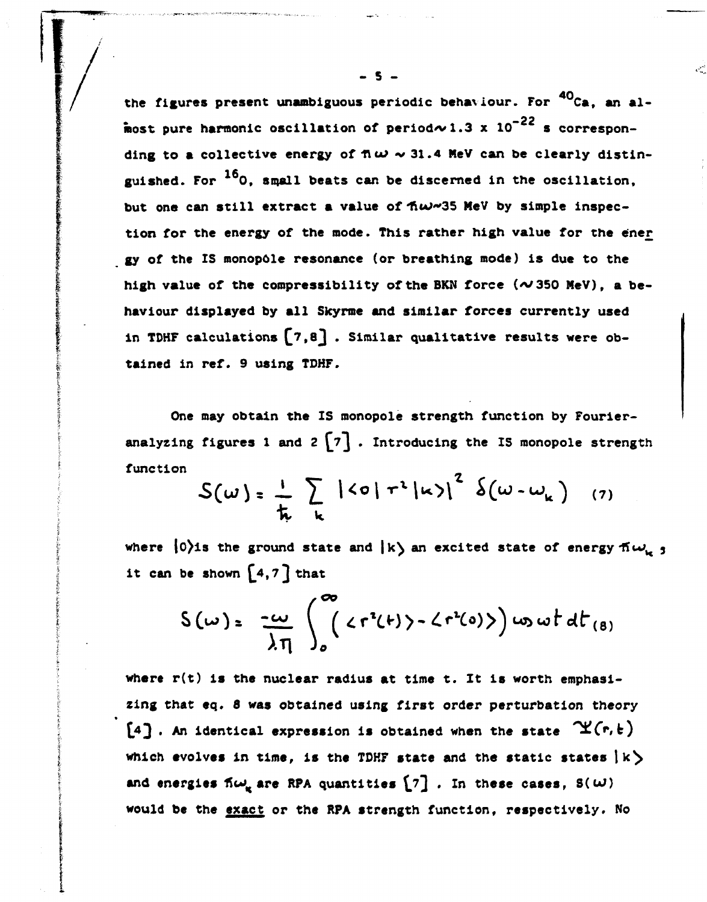$40<sub>6</sub>$ **the figures present unambiguous periodic behaviour. For Ca, an al** most pure harmonic oscillation of period $\sim 1.3 \times 10^{-22}$  s corresponding to a collective energy of  $\pi \omega \sim 31.4$  MeV can be clearly distinguished. For <sup>16</sup>0, small beats can be discerned in the oscillation, but one can still extract a value of  $\hbar\omega\omega$ <sup>35</sup> MeV by simple inspection for the energy of the mode. This rather high value for the ener gy of the IS monopole resonance (or breathing mode) is due to the high value of the compressibility of the BKN force  $(\sim 350$  MeV), a behaviour displayed by all Skyrme and similar forces currently used in TDHF calculations  $[7,8]$ . Similar qualitative results were obtained in ref. 9 using TDHF. **<sup>8</sup> 3 \* Siraila <sup>r</sup> qualitative results were ob-**

**One may obtain the IS monopole strength function by Fourier**analyzing figures 1 and  $2 \begin{bmatrix} 7 \end{bmatrix}$ . Introducing the IS monopole strength **function** 

$$
S(\omega) = \frac{1}{\hbar} \sum_{k} |\langle \sigma | \tau^{2} | \kappa \rangle|^{2} \delta(\omega - \omega_{k})
$$
 (7)

**where**  $\langle 0 \rangle$ **is the ground state and**  $\langle k \rangle$  **an excited state of energy**  $\eta(\omega)$ it can be shown  $\begin{bmatrix} 4, 7 \end{bmatrix}$  that

$$
S(\omega) = -\frac{2\omega}{\lambda \eta} \int_{0}^{\infty} \langle r^{2}(t) \rangle - \langle r^{2}(0) \rangle \, d\omega \, \omega t \, dt_{(8)}
$$

**where r(t) is the nuclear radius at time t. It is worth emphasizing that eq. 8 was obtained using first order perturbation theory**   $[4]$ . An identical expression is obtained when the state  $\mathfrak{X}(r, k)$ which evolves in time, is the TDHF state and the static states  $|k\rangle$ and energies  $\tilde{n}\omega_{\mu}$  are RPA quantities  $\begin{bmatrix} 7 \end{bmatrix}$ . In these cases,  $S(\omega)$ **would be the exact or the RPA strength function, respectively. No** 

**- 5 -**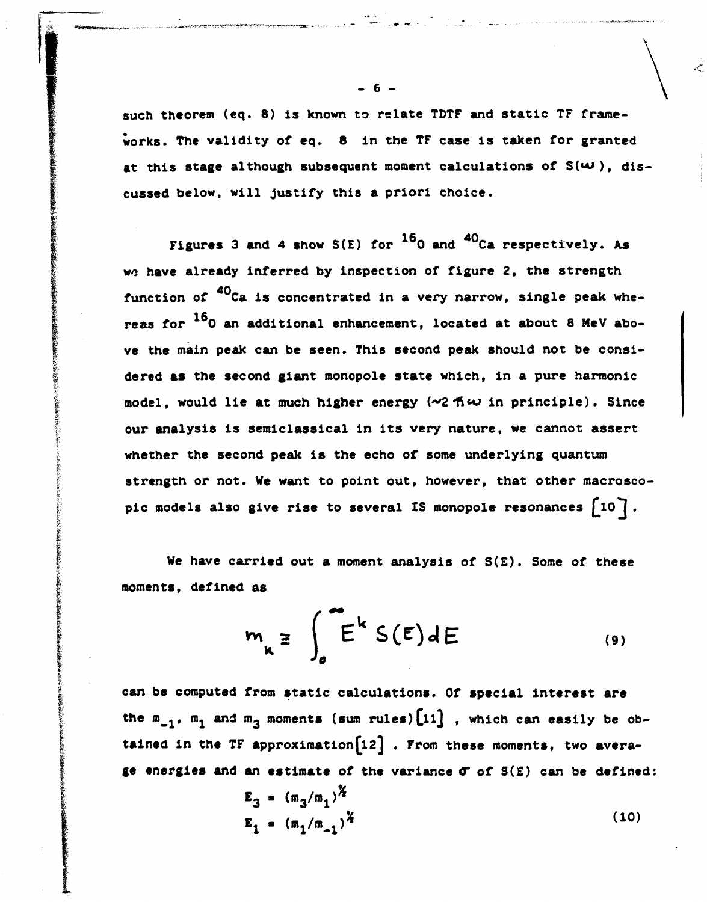**such theorem (eq. 8) is known to relate TDTF and static TF frameworks. The validity of eq. 8 in the TF case is taken for granted**  at this stage although subsequent moment calculations of  $S(\omega)$ , dis**cussed below, will justify this a priori choice.** 

Figures 3 and 4 show S(E) for <sup>16</sup>0 and <sup>40</sup>Ca respectively. As **wo have already inferred by inspection of figure 2, the strength**  function of <sup>40</sup>Ca is concentrated in a very narrow, single peak whereas for <sup>16</sup>0 an additional enhancement, located at about 8 MeV above the main peak can be seen. This second peak should not be considered as the second giant monopole state which, in a pure harmonic **dered as the second giant monopole state which, in a pure harmonic model, would lie at much higher energy** *{"Z-fkvo* **in principle). Since our analysis is semiclassical in its very nature, we cannot assert whether the second peak is the echo of some underlying quantum strength or not. We want to point out, however, that other macrosco**pic models also give rise to several IS monopole resonances  $\lceil 10 \rceil$ .

**We have carried out a moment analysis of S(E). Some of these moments, defined as** 

$$
m_{k} \equiv \int_{0}^{\infty} E^{k} S(E) dE
$$
 (9)

**can be computed from static calculations. Of special interest are**  the  $m_{-1}$ ,  $m_1$  and  $m_3$  moments (sum rules) [11], which can easily be obtained in the TF approximation<sup>[12]</sup>. From these moments, two avera**ge energies and an estimate of the variance 0" of S(£) can be defined:** 

$$
E_3 = (m_3/m_1)^{\frac{1}{2}}
$$
  

$$
E_1 = (m_1/m_{-1})^{\frac{1}{2}}
$$
 (10)

**- 6 -**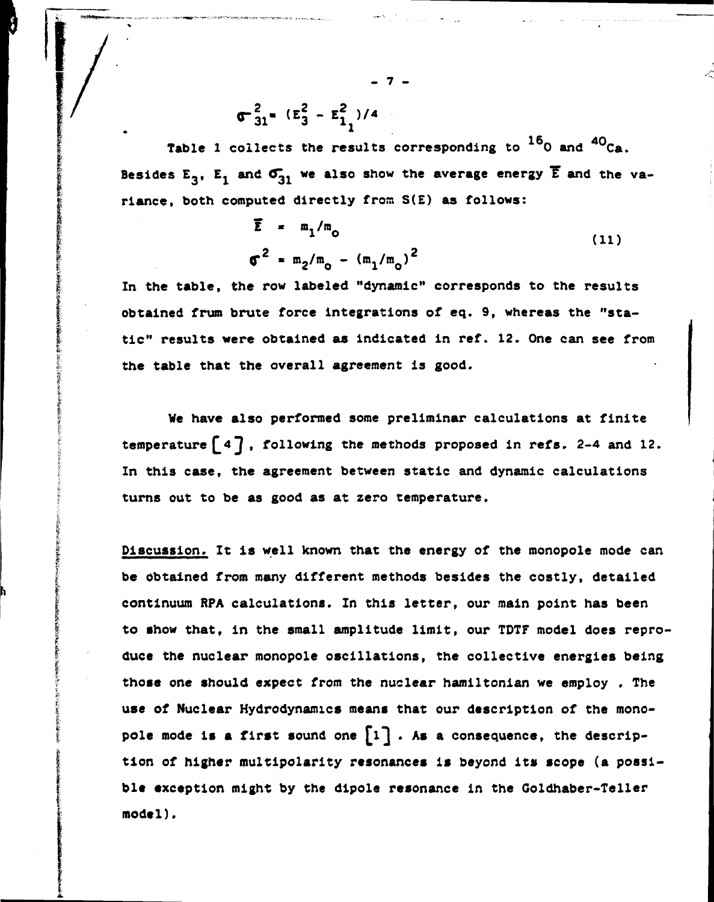$$
\sigma_{31}^2 = (\epsilon_3^2 - \epsilon_{11}^2)/4
$$

**Table 1 collects the results corresponding to 0 and Ca.**  Besides  $E_3$ ,  $E_1$  and  $\sigma_{31}$  we also show the average energy  $\overline{E}$  and the va**riance, both computed directly from S(E) as follows:** 

**- 7 -**

$$
\overline{E} = m_1/m_0
$$
\n(11)\n
$$
\sigma^2 = m_2/m_0 - (m_1/m_0)^2
$$

In the table, the row labeled "dynamic" corresponds to the results **obtained frum brute force integrations of eq. 9, whereas the "static" results were obtained as indicated in ref. 12. One can see from the table that the overall agreement is good.** 

**We have also performed some preliminar calculations at finite**  temperature  $[4]$ , following the methods proposed in refs. 2-4 and 12. **In this case, the agreement between static and dynamic calculations turns out to be as good as at zero temperature.** 

**Discussion. It is well known that the energy of the monopole mode can be obtained from many different methods besides the costly, detailed continuum RPA calculations. In this letter, our main point has been to show that, in the small amplitude limit, our TDTF model does reproduce the nuclear monopole oscillations, the collective energies being those one should expect from the nuclear hamiltonian we employ . The use of Nuclear Hydrodynamics means that our description of the mono**pole mode is a first sound one  $\lceil 1 \rceil$ . As a consequence, the descrip**tion of higher multipolar!ty resonances is beyond its scope (a possi**ble exception might by the dipole resonance in the Goldhaber-Teller **model).**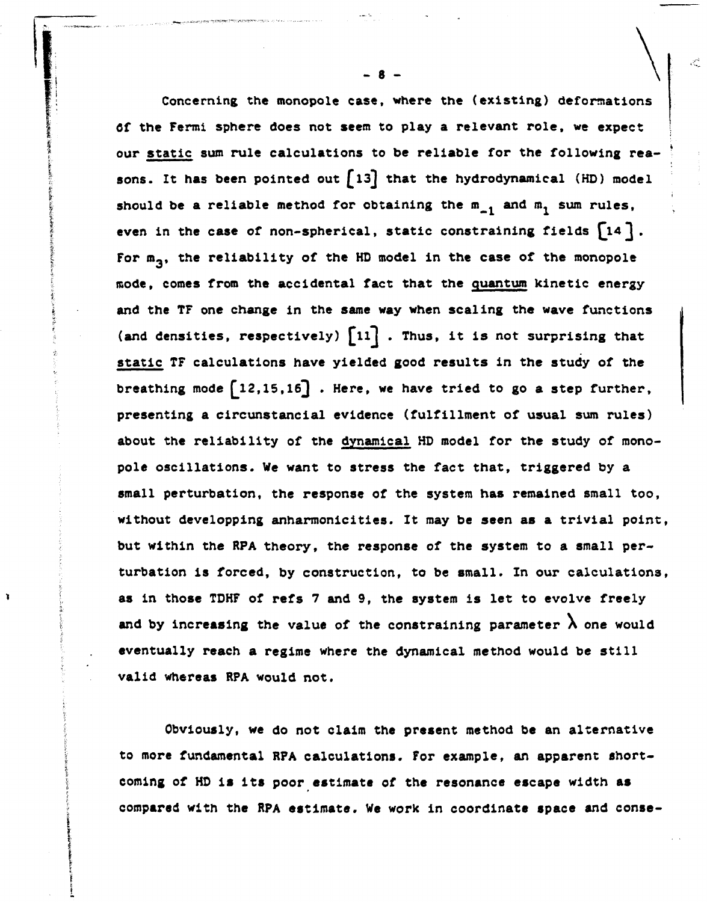**Concerning the monopole case, where the (existing) deformations of the Fermi sphere does not seem to play a relevant role, we expect our static sum rule calculations to be reliable for the following rea**sons. It has been pointed out [13] that the hydrodynamical (HD) model should be a reliable method for obtaining the  $m_{-1}$  and  $m_1$  sum rules, even in the case of non-spherical, static constraining fields  $[14]$ . For  $m_3$ , the reliability of the HD model in the case of the monopole **mode, comes from the accidental fact that the quantum kinetic energy and the TF one change in the same way when scaling the wave functions**  (and densities, respectively)  $\begin{bmatrix} 11 \end{bmatrix}$ . Thus, it is not surprising that **static TF calculations have yielded good results in the study of the**  breathing mode  $\begin{bmatrix} 12,15,16 \end{bmatrix}$ . Here, we have tried to go a step further, **presenting a circunstancial evidence (fulfillment of usual sum rules) about the reliability of the dynamical HD model for the study of monopole oscillations. We want to stress the fact that, triggered by a small perturbation, the response of the system has remained small too, without developping anharmoniclties. It may be seen as a trivial point, but within the RPA theory, the response of the system to a small perturbation is forced, by construction, to be small. In our calculations, as in those TDHF of refs 7 and 9, the system is let to evolve freely**  and by increasing the value of the constraining parameter  $\lambda$  one would **eventually reach a regime where the dynamical method would be still valid whereas RPA would not.** 

**Obviously, we do not claim the present method be an alternative to more fundamental RPA calculations. For example, an apparent shortcoming of HD is its poor estimate of the resonance escape width as compared with the RPA estimate. We work in coordinate space and conse-**

f,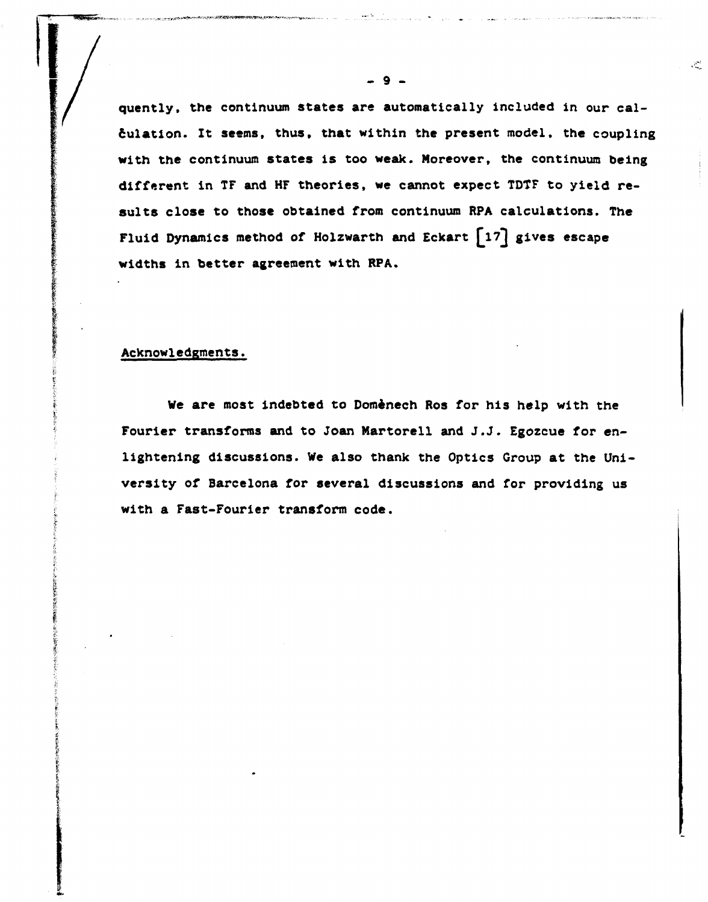**quently, the continuum states are automatically included in our calculation. It seems, thus, that within the present model, the coupling with the continuum states is too weak. Moreover, the continuum being different in TF and HF theories, we cannot expect TDTF to yield results close to those obtained from continuum RPA calculations. The**  Fluid Dynamics method of Holzwarth and Eckart  $\lceil 17 \rceil$  gives escape **widths in better agreement with RPA.** 

#### **Acknowledgments.**

**We are most indebted to Domènech Ros for his help with the Fourier transforms and to Joan Martorell and J.J. Egozcue for enlightening discussions. We also thank the Optics Group at the Uni versity of Barcelona for several discussions and for providing us with a Fast-Fourier transform code.** 

 $\mathcal{R}_{\mathrm{eq}}^{(2)}$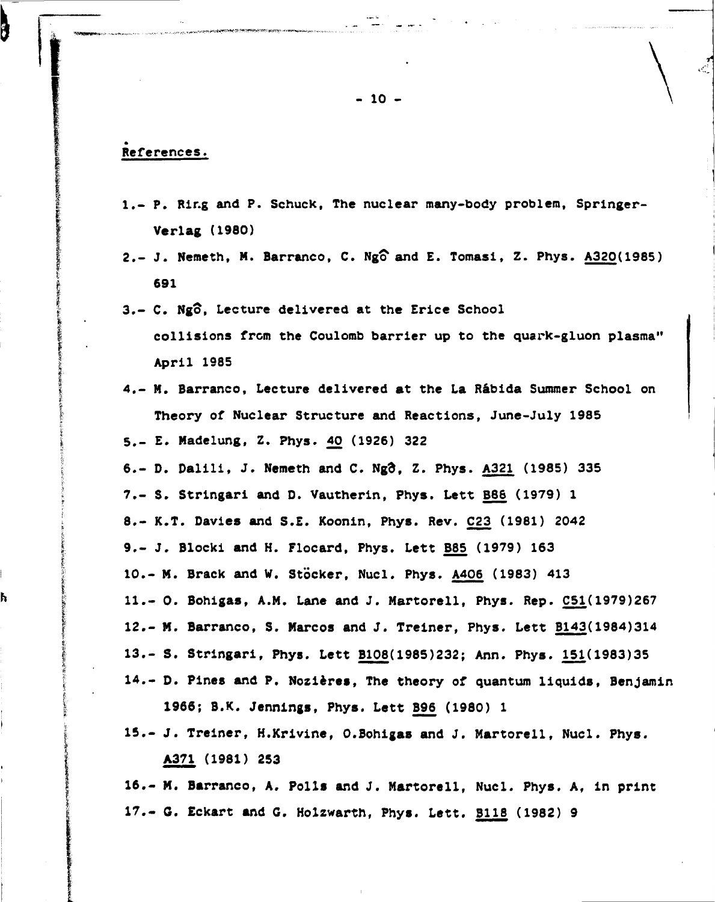### **References.**

ł

ĥ

- **1.- P. Ring and P. Schuck, The nuclear many-body problem, Springer-Verlag (1980)**
- **2.- J. Nemeth, M. Barranco, C. Ngo1 and E. Tomasi, Z. Phys. A320(1985) 691**
- 3.- C. Ngô, Lecture delivered at the Erice School **collisions from the Coulomb barrier up to the quark-gluon plasma" April 1985**
- **4.- M. Barranco, Lecture delivered at the La Râbida Summer School on Theory of Nuclear Structure and Reactions, June-July 1985 5.- E. Madelung, Z. Phys. 40 (1926) 322**
- **6.- D. Dalili, J. Nemeth and C. Ngo\ Z. Phys. A321 (1985) 335 7.- S. Stringari and D. Vautherin, Phys. Lett B88 (1979) 1**  8.- K.T. Davies and S.E. Koonin, Phys. Rev. C23 (1981) 2042 **9.- J. Blocki and H. Flocard, Phys. Lett B85 (1979) 163 10.- M. Brack and W. Stocker, Nucl. Phys. A406 (1983) 413 11.- 0. Bohigas, A.M. Lane and J. Martorell, Phys. Rep. 051(1979)267 12.- M. Barranco, S. Marcos and J. Treiner, Phys. Lett B143(1984)314 13.- S. Stringari, Phys. Lett B108(1985)232; Ann. Phys. 151(1983)35 14.- D. Pines and P. Nozières, The theory of quantum liquids, Benjamin**
- **15.- J. Treiner, H.Krivine, 0.Bohigas and J. Martorell, Nucl. Phys. A371 (1981) 253**

**1966; B.K. Jennings, Phys. Lett B96 (1980) 1** 

**16.- M. Barranco, A. Polls and J. Martorell, Nucl. Phys. A, in print 17.- G. Eckart and G. Holzwarth, Phys. Lett. 3118 (1982) 9**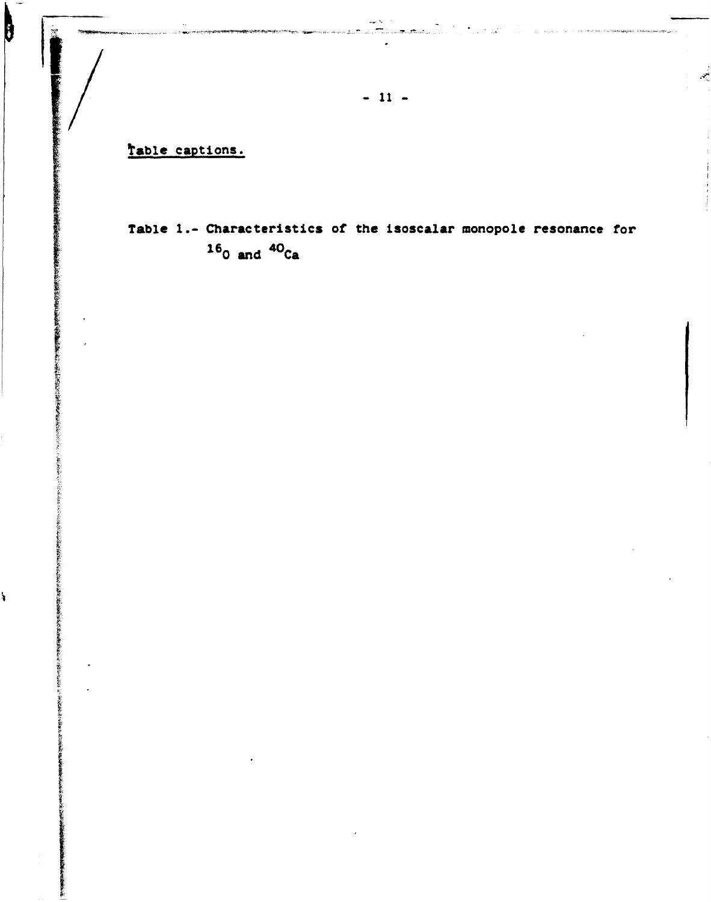Table captions.

 $\mathbf{b}$ 

化双形式式机械机械机械 医骨髓

Š,

# Table 1.- Characteristics of the isoscalar monopole resonance for  $16_{0}$  and  $40_{Ca}$

أبعد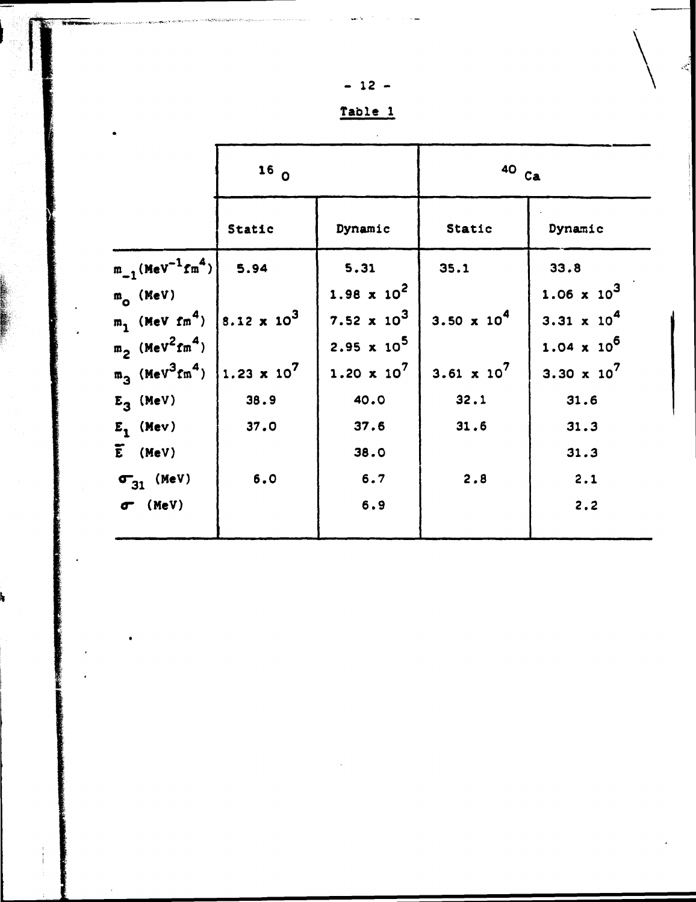| 2<br>$\ddot{\phantom{a}}$ |  |
|---------------------------|--|
|                           |  |

| IJ | Tabl | ÷ |  |
|----|------|---|--|
|    |      |   |  |

|                                                                                                              | 16 <sub>0</sub> |                                          | $40$ $ca$                     |                                                     |  |
|--------------------------------------------------------------------------------------------------------------|-----------------|------------------------------------------|-------------------------------|-----------------------------------------------------|--|
|                                                                                                              | Static          | Dynamic                                  | Static                        | Dynamic                                             |  |
| $m_{-1}$ (MeV <sup>-1</sup> fm <sup>4</sup> )                                                                | 5.94            | 5.31<br>$1.98 \times 10^{2}$             | 35.1                          | 33.8<br>$1.06 \times 10^3$                          |  |
| $m_{\Omega}$ (MeV)<br>$m_1$ (MeV fm <sup>4</sup> )  8.12 x 10 <sup>3</sup>                                   |                 | 7.52 $\times 10^3$                       | 3.50 $\times$ 10 <sup>4</sup> | $3.31 \times 10^{4}$                                |  |
| $m2$ (MeV <sup>2</sup> fm <sup>4</sup> )<br>$m_3$ (MeV <sup>3</sup> fm <sup>4</sup> ) 1.23 x 10 <sup>7</sup> |                 | $2.95 \times 10^5$<br>$1.20 \times 10^7$ | $3.61 \times 10^7$            | $1.04 \times 10^6$<br>3.30 $\times$ 10 <sup>7</sup> |  |
| $E_3$ (MeV)                                                                                                  | 38.9            | 40.0                                     | 32.1                          | 31.6                                                |  |
| $E_1$ (Mev)                                                                                                  | 37.0            | 37.6                                     | 31.6                          | 31.3                                                |  |
| $\widetilde{E}$ (MeV)                                                                                        |                 | 38.0                                     |                               | 31.3                                                |  |
| $\sigma_{31}$ (MeV)                                                                                          | 6.0             | 6.7                                      | 2.8                           | 2.1                                                 |  |
| $\sigma$ (MeV)                                                                                               |                 | 6.9                                      |                               | 2.2                                                 |  |

 $\hat{\mathcal{L}}$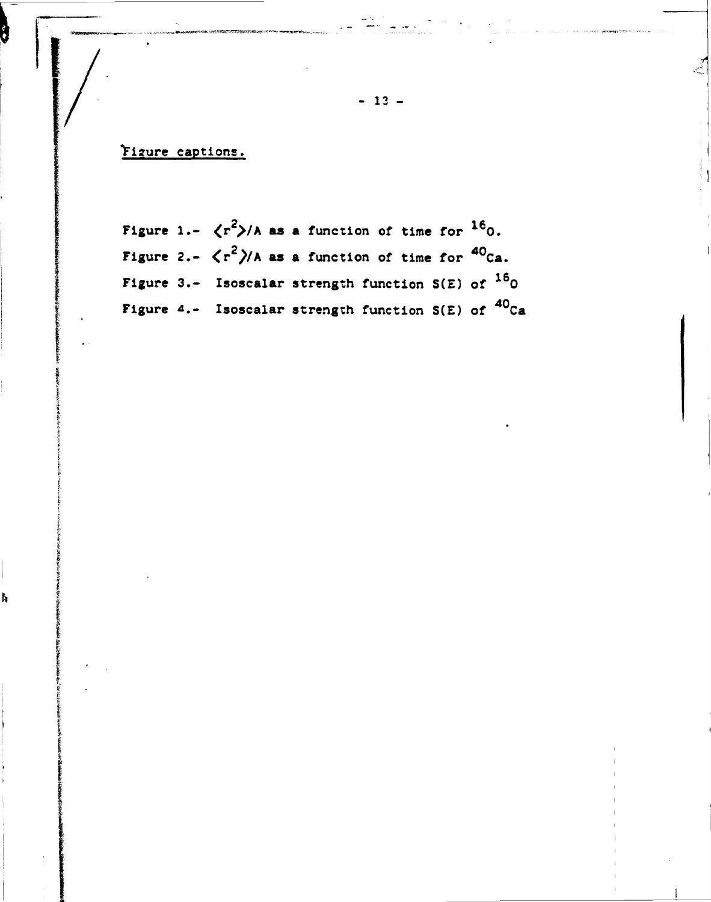Figure captions.

ħ

Figure 1.-  $\langle r^2 \rangle$ /A as a function of time for  $^{16}$ 0. Figure 2.-  $\langle r^2 \rangle$ /A as a function of time for <sup>40</sup>Ca. Figure 3.- Isoscalar strength function  $S(E)$  of  $^{16}O$ Figure 4.- Isoscalar strength function  $S(E)$  of  ${}^{40}$ Ca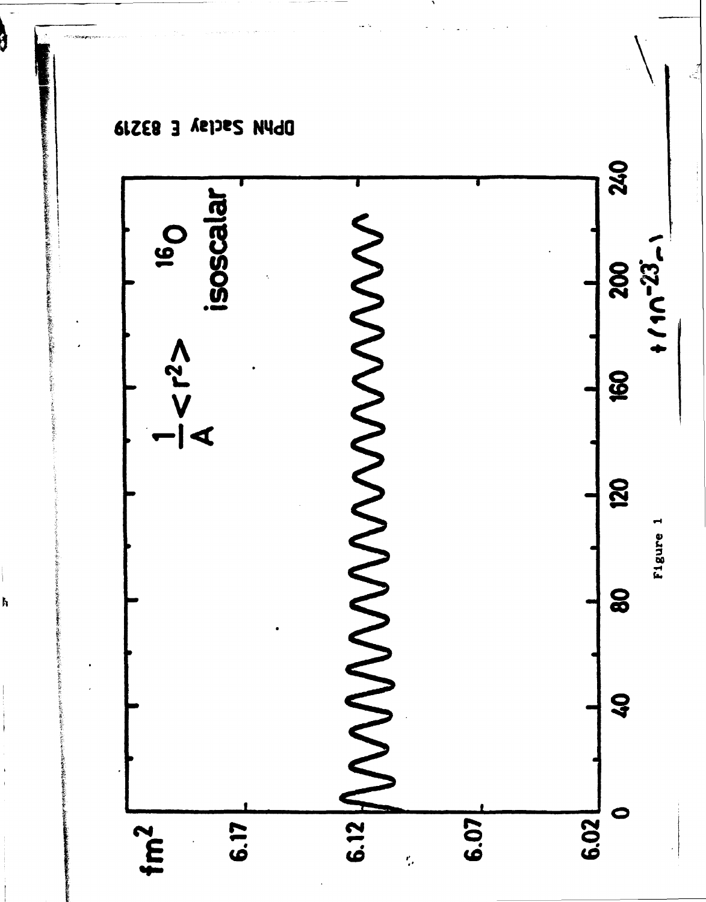

8

ħ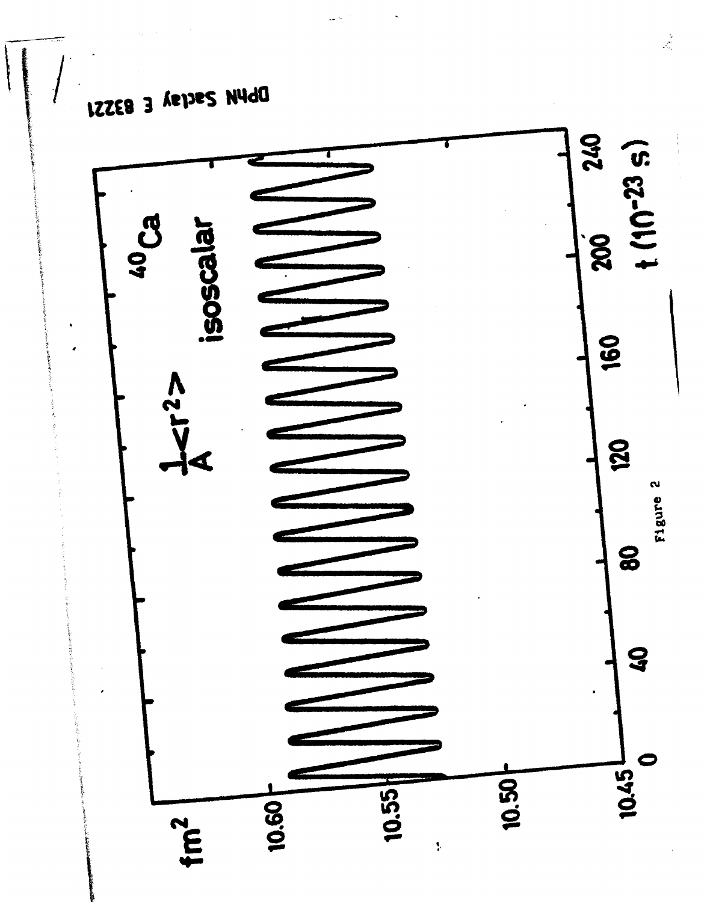

DbWA Zacral E LZZE8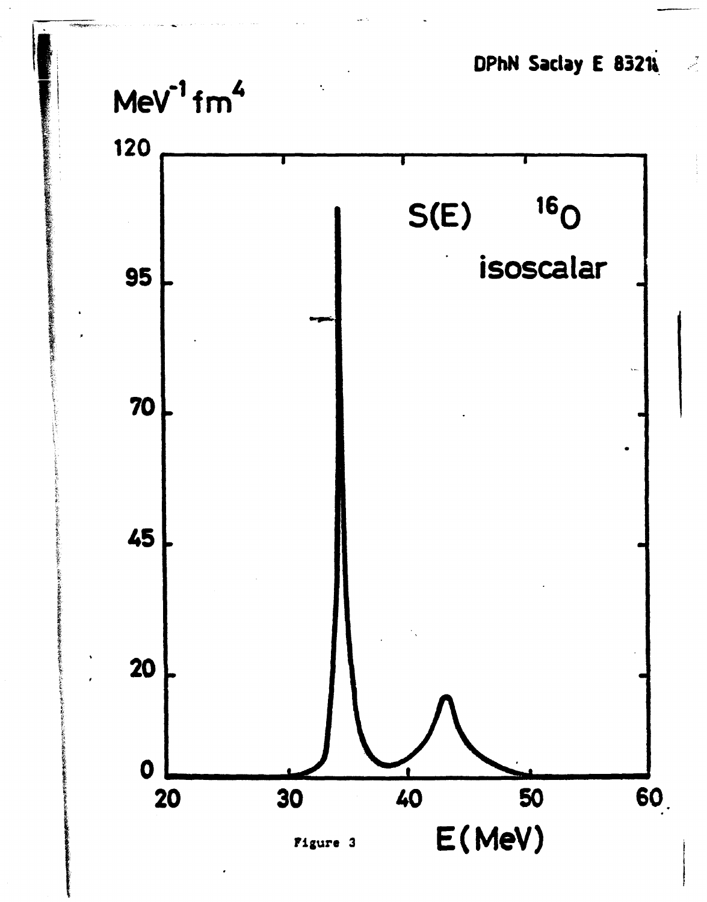